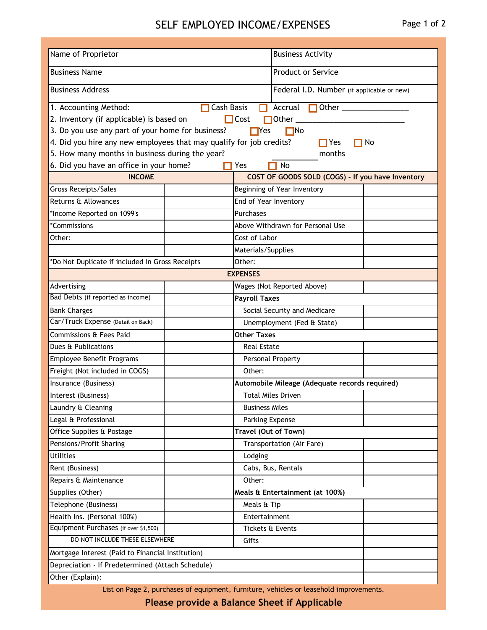## SELF EMPLOYED INCOME/EXPENSES Page 1 of 2

| Name of Proprietor                                                                                                | <b>Business Activity</b>     |                                                   |                                                |           |  |  |  |  |
|-------------------------------------------------------------------------------------------------------------------|------------------------------|---------------------------------------------------|------------------------------------------------|-----------|--|--|--|--|
| <b>Business Name</b>                                                                                              |                              |                                                   | Product or Service                             |           |  |  |  |  |
| <b>Business Address</b>                                                                                           |                              |                                                   | Federal I.D. Number (if applicable or new)     |           |  |  |  |  |
| Cash Basis                                                                                                        |                              |                                                   | П<br>Accrual                                   |           |  |  |  |  |
| 1. Accounting Method:                                                                                             |                              |                                                   |                                                |           |  |  |  |  |
| 2. Inventory (if applicable) is based on                                                                          |                              | $\Box$ Cost                                       | $\Box$ Other $\_\_\_\_\_\_\_\$                 |           |  |  |  |  |
| 3. Do you use any part of your home for business?                                                                 |                              | $\Box$ Yes                                        | $\square$ No                                   |           |  |  |  |  |
| 4. Did you hire any new employees that may qualify for job credits?                                               |                              |                                                   | $\prod$ Yes                                    | $\Box$ No |  |  |  |  |
| 5. How many months in business during the year?<br>months<br>6. Did you have an office in your home?<br>No<br>Yes |                              |                                                   |                                                |           |  |  |  |  |
| <b>INCOME</b>                                                                                                     |                              | COST OF GOODS SOLD (COGS) - If you have Inventory |                                                |           |  |  |  |  |
| Gross Receipts/Sales                                                                                              |                              |                                                   |                                                |           |  |  |  |  |
| Returns & Allowances                                                                                              |                              |                                                   | Beginning of Year Inventory                    |           |  |  |  |  |
|                                                                                                                   |                              | End of Year Inventory<br>Purchases                |                                                |           |  |  |  |  |
| *Income Reported on 1099's<br>*Commissions                                                                        |                              |                                                   |                                                |           |  |  |  |  |
|                                                                                                                   |                              | Above Withdrawn for Personal Use                  |                                                |           |  |  |  |  |
| Other:                                                                                                            |                              | Cost of Labor                                     |                                                |           |  |  |  |  |
|                                                                                                                   | Materials/Supplies<br>Other: |                                                   |                                                |           |  |  |  |  |
| *Do Not Duplicate if included in Gross Receipts                                                                   |                              |                                                   |                                                |           |  |  |  |  |
| <b>EXPENSES</b>                                                                                                   |                              |                                                   |                                                |           |  |  |  |  |
| Advertising                                                                                                       |                              | Wages (Not Reported Above)                        |                                                |           |  |  |  |  |
| Bad Debts (if reported as income)                                                                                 |                              | <b>Payroll Taxes</b>                              |                                                |           |  |  |  |  |
| <b>Bank Charges</b>                                                                                               |                              | Social Security and Medicare                      |                                                |           |  |  |  |  |
| Car/Truck Expense (Detail on Back)                                                                                |                              | Unemployment (Fed & State)                        |                                                |           |  |  |  |  |
| Commissions & Fees Paid                                                                                           |                              | <b>Other Taxes</b>                                |                                                |           |  |  |  |  |
| Dues & Publications                                                                                               |                              | <b>Real Estate</b>                                |                                                |           |  |  |  |  |
| Employee Benefit Programs                                                                                         |                              | Personal Property                                 |                                                |           |  |  |  |  |
| Freight (Not included in COGS)                                                                                    |                              | Other:                                            |                                                |           |  |  |  |  |
| Insurance (Business)                                                                                              |                              |                                                   | Automobile Mileage (Adequate records required) |           |  |  |  |  |
| Interest (Business)                                                                                               |                              | <b>Total Miles Driven</b>                         |                                                |           |  |  |  |  |
| Laundry & Cleaning                                                                                                |                              | <b>Business Miles</b>                             |                                                |           |  |  |  |  |
| Legal & Professional                                                                                              |                              | Parking Expense                                   |                                                |           |  |  |  |  |
| Office Supplies & Postage                                                                                         |                              | Travel (Out of Town)                              |                                                |           |  |  |  |  |
| Pensions/Profit Sharing                                                                                           |                              |                                                   | Transportation (Air Fare)                      |           |  |  |  |  |
| <b>Utilities</b>                                                                                                  |                              | Lodging                                           |                                                |           |  |  |  |  |
| Rent (Business)                                                                                                   |                              | Cabs, Bus, Rentals                                |                                                |           |  |  |  |  |
| Repairs & Maintenance                                                                                             |                              | Other:                                            |                                                |           |  |  |  |  |
| Supplies (Other)                                                                                                  |                              |                                                   | Meals & Entertainment (at 100%)                |           |  |  |  |  |
| Telephone (Business)                                                                                              |                              | Meals & Tip                                       |                                                |           |  |  |  |  |
| Health Ins. (Personal 100%)                                                                                       |                              | Entertainment                                     |                                                |           |  |  |  |  |
| Equipment Purchases (if over \$1,500)                                                                             |                              |                                                   | Tickets & Events                               |           |  |  |  |  |
| DO NOT INCLUDE THESE ELSEWHERE                                                                                    | Gifts                        |                                                   |                                                |           |  |  |  |  |
| Mortgage Interest (Paid to Financial Institution)                                                                 |                              |                                                   |                                                |           |  |  |  |  |
| Depreciation - If Predetermined (Attach Schedule)                                                                 |                              |                                                   |                                                |           |  |  |  |  |
| Other (Explain):                                                                                                  |                              |                                                   |                                                |           |  |  |  |  |

List on Page 2, purchases of equipment, furniture, vehicles or leasehold improvements.

**Please provide a Balance Sheet if Applicable**